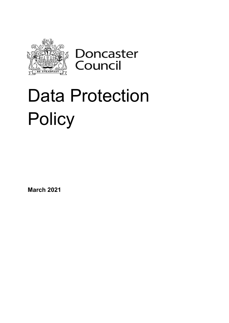

Doncaster<br>Council

# Data Protection **Policy**

**March 2021**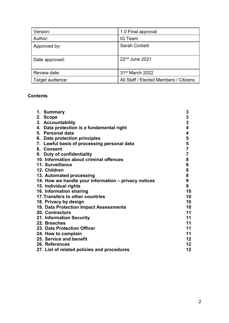| Version:         | 1.0 Final approval                     |
|------------------|----------------------------------------|
| Author:          | <b>IG Team</b>                         |
| Approved by:     | <b>Sarah Corbett</b>                   |
| Date approved:   | 22 <sup>nd</sup> June 2021             |
| Review date:     | 31 <sup>st</sup> March 2022            |
| Target audience: | All Staff / Elected Members / Citizens |

# **Contents**

| 1. Summary                                           | 3                       |
|------------------------------------------------------|-------------------------|
| 2. Scope                                             |                         |
| 3. Accountability                                    | $\frac{3}{3}$           |
| 4. Data protection is a fundamental right            | $\overline{\mathbf{4}}$ |
| 5. Personal data                                     | 4                       |
| 6. Data protection principles                        | 5                       |
| 7. Lawful basis of processing personal data          | 5                       |
| 8. Consent                                           | $\overline{7}$          |
| 9. Duty of confidentiality                           | $\overline{7}$          |
| 10. Information about criminal offences              | 8                       |
| 11. Surveillance                                     | 8                       |
| 12. Children                                         | 8                       |
| 13. Automated processing                             | 8                       |
| 14. How we handle your information – privacy notices | 9                       |
| 15. Individual rights                                | 9                       |
| 16. Information sharing                              | 10                      |
| 17. Transfers to other countries                     | 10                      |
| 18. Privacy by design                                | 10                      |
| 19. Data Protection Impact Assessments               | 10                      |
| <b>20. Contractors</b>                               | 11                      |
| 21. Information Security                             | 11                      |
| 22. Breaches                                         | 11                      |
| 23. Data Protection Officer                          | 11                      |
| 24. How to complain                                  | 11                      |
| 25. Service and benefit                              | 12                      |
| 26. References                                       | 12                      |
| 27. List of related policies and procedures          | 12                      |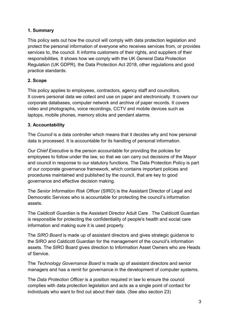# **1. Summary**

This policy sets out how the council will comply with data protection legislation and protect the personal information of everyone who receives services from, or provides services to, the council. It informs customers of their rights, and suppliers of their responsibilities. It shows how we comply with the UK General Data Protection Regulation (UK GDPR), the Data Protection Act 2018, other regulations and good practice standards.

# **2. Scope**

This policy applies to employees, contractors, agency staff and councillors. It covers personal data we collect and use on paper and electronically. It covers our corporate databases, computer network and archive of paper records. It covers video and photographs, voice recordings, CCTV and mobile devices such as laptops, mobile phones, memory sticks and pendant alarms.

## **3. Accountability**

The *Council* is a data controller which means that it decides why and how personal data is processed. It is accountable for its handling of personal information.

Our *Chief Executive* is the person accountable for providing the policies for employees to follow under the law, so that we can carry out decisions of the Mayor and council in response to our statutory functions. The Data Protection Policy is part of our corporate governance framework, which contains important policies and procedures maintained and published by the council, that are key to good governance and effective decision making.

The *Senior Information Risk Officer* (SIRO) is the Assistant Director of Legal and Democratic Services who is accountable for protecting the council's information assets.

The *Caldicott Guardian* is the Assistant Director Adult Care . The Caldicott Guardian is responsible for protecting the confidentiality of people's health and social care information and making sure it is used properly.

The *SIRO Board* is made up of assistant directors and gives strategic guidance to the SIRO and Caldicott Guardian for the management of the council's information assets. The SIRO Board gives direction to Information Asset Owners who are Heads of Service.

The *Technology Governance Board* is made up of assistant directors and senior managers and has a remit for governance in the development of computer systems.

The *Data Protection Officer* is a position required in law to ensure the council complies with data protection legislation and acts as a single point of contact for individuals who want to find out about their data. (See also section 23)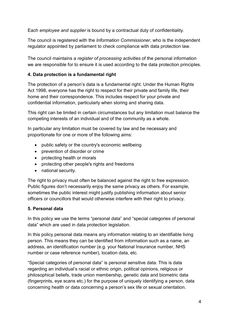Each *employee and supplier* is bound by a contractual duty of confidentiality.

The council is registered with the *Information Commissioner*, who is the independent regulator appointed by parliament to check compliance with data protection law.

The council maintains a *register of processing activities* of the personal information we are responsible for to ensure it is used according to the data protection principles.

## **4. Data protection is a fundamental right**

The protection of a person's data is a fundamental right. Under the Human Rights Act 1998, evervone has the right to respect for their private and family life, their home and their correspondence. This includes respect for your private and confidential information, particularly when storing and sharing data.

This right can be limited in certain circumstances but any limitation must balance the competing interests of an individual and of the community as a whole.

In particular any limitation must be covered by law and be necessary and proportionate for one or more of the following aims:

- public safety or the country's economic wellbeing
- prevention of disorder or crime
- protecting health or morals
- protecting other people's rights and freedoms
- national security.

The right to privacy must often be balanced against the right to free expression. Public figures don't necessarily enjoy the same privacy as others. For example, sometimes the public interest might justify publishing information about senior officers or councillors that would otherwise interfere with their right to privacy.

#### **5. Personal data**

In this policy we use the terms "personal data" and "special categories of personal data" which are used in data protection legislation.

In this policy personal data means any information relating to an identifiable living person. This means they can be identified from information such as a name, an address, an identification number (e.g. your National Insurance number, NHS number or case reference number), location data, etc.

"Special categories of personal data" is personal sensitive data. This is data regarding an individual's racial or ethnic origin, political opinions, religious or philosophical beliefs, trade union membership, genetic data and biometric data (fingerprints, eye scans etc.) for the purpose of uniquely identifying a person, data concerning health or data concerning a person's sex life or sexual orientation.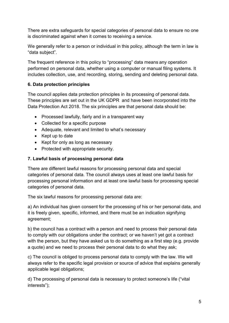There are extra safeguards for special categories of personal data to ensure no one is discriminated against when it comes to receiving a service.

We generally refer to a person or individual in this policy, although the term in law is "data subject".

The frequent reference in this policy to "processing" data means any operation performed on personal data, whether using a computer or manual filing systems. It includes collection, use, and recording, storing, sending and deleting personal data.

## **6. Data protection principles**

The council applies data protection principles in its processing of personal data. These principles are set out in the UK GDPR and have been incorporated into the Data Protection Act 2018. The six principles are that personal data should be:

- Processed lawfully, fairly and in a transparent way
- Collected for a specific purpose
- Adequate, relevant and limited to what's necessary
- Kept up to date
- Kept for only as long as necessary
- Protected with appropriate security.

#### **7. Lawful basis of processing personal data**

There are different lawful reasons for processing personal data and special categories of personal data. The council always uses at least one lawful basis for processing personal information and at least one lawful basis for processing special categories of personal data.

The six lawful reasons for processing personal data are:

a) An individual has given consent for the processing of his or her personal data, and it is freely given, specific, informed, and there must be an indication signifying agreement;

b) the council has a contract with a person and need to process their personal data to comply with our obligations under the contract; or we haven't yet got a contract with the person, but they have asked us to do something as a first step (e.g. provide a quote) and we need to process their personal data to do what they ask;

c) The council is obliged to process personal data to comply with the law. We will always refer to the specific legal provision or source of advice that explains generally applicable legal obligations;

d) The processing of personal data is necessary to protect someone's life ("vital interests");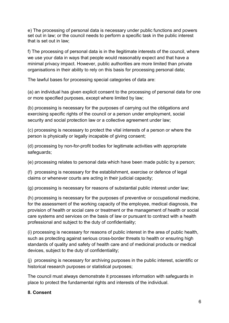e) The processing of personal data is necessary under public functions and powers set out in law; or the council needs to perform a specific task in the public interest that is set out in law;

f) The processing of personal data is in the llegitimate interests of the council, where we use your data in ways that people would reasonably expect and that have a minimal privacy impact. However, public authorities are more limited than private organisations in their ability to rely on this basis for processing personal data;

The lawful bases for processing special categories of data are:

(a) an individual has given explicit consent to the processing of personal data for one or more specified purposes, except where limited by law;

(b) processing is necessary for the purposes of carrying out the obligations and exercising specific rights of the council or a person under employment, social security and social protection law or a collective agreement under law;

(c) processing is necessary to protect the vital interests of a person or where the person is physically or legally incapable of giving consent;

(d) processing by non-for-profit bodies for legitimate activities with appropriate safeguards;

(e) processing relates to personal data which have been made public by a person;

(f) processing is necessary for the establishment, exercise or defence of legal claims or whenever courts are acting in their judicial capacity;

(g) processing is necessary for reasons of substantial public interest under law;

(h) processing is necessary for the purposes of preventive or occupational medicine, for the assessment of the working capacity of the employee, medical diagnosis, the provision of health or social care or treatment or the management of health or social care systems and services on the basis of law or pursuant to contract with a health professional and subject to the duty of confidentiality;

(i) processing is necessary for reasons of public interest in the area of public health, such as protecting against serious cross-border threats to health or ensuring high standards of quality and safety of health care and of medicinal products or medical devices, subject to the duty of confidentiality;

(j) processing is necessary for archiving purposes in the public interest, scientific or historical research purposes or statistical purposes;

The council must always demonstrate it processes information with safeguards in place to protect the fundamental rights and interests of the individual.

## **8. Consent**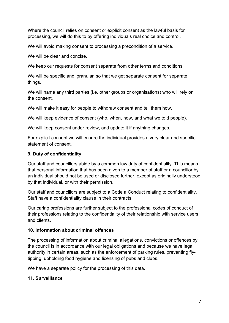Where the council relies on consent or explicit consent as the lawful basis for processing, we will do this to by offering individuals real choice and control.

We will avoid making consent to processing a precondition of a service.

We will be clear and concise.

We keep our requests for consent separate from other terms and conditions.

We will be specific and 'granular' so that we get separate consent for separate things.

We will name any third parties (i.e. other groups or organisations) who will rely on the consent.

We will make it easy for people to withdraw consent and tell them how.

We will keep evidence of consent (who, when, how, and what we told people).

We will keep consent under review, and update it if anything changes.

For explicit consent we will ensure the individual provides a very clear and specific statement of consent.

# **9. Duty of confidentiality**

Our staff and councillors abide by a common law duty of confidentiality. This means that personal information that has been given to a member of staff or a councillor by an individual should not be used or disclosed further, except as originally understood by that individual, or with their permission.

Our staff and councillors are subject to a Code a Conduct relating to confidentiality. Staff have a confidentiality clause in their contracts.

Our caring professions are further subject to the professional codes of conduct of their professions relating to the confidentiality of their relationship with service users and clients.

## **10. Information about criminal offences**

The processing of information about criminal allegations, convictions or offences by the council is in accordance with our legal obligations and because we have legal authority in certain areas, such as the enforcement of parking rules, preventing flytipping, upholding food hygiene and licensing of pubs and clubs.

We have a separate policy for the processing of this data.

# **11. Surveillance**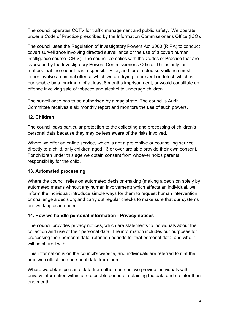The council operates CCTV for traffic management and public safety. We operate under a Code of Practice prescribed by the Information Commissioner's Office (ICO).

The council uses the Regulation of Investigatory Powers Act 2000 (RIPA) to conduct covert surveillance involving directed surveillance or the use of a covert human intelligence source (CHIS). The council complies with the Codes of Practice that are overseen by the Investigatory Powers Commissioner's Office. This is only for matters that the council has responsibility for, and for directed surveillance must either involve a criminal offence which we are trying to prevent or detect, which is punishable by a maximum of at least 6 months imprisonment, or would constitute an offence involving sale of tobacco and alcohol to underage children.

The surveillance has to be authorised by a magistrate. The council's Audit Committee receives a six monthly report and monitors the use of such powers.

## **12. Children**

The council pays particular protection to the collecting and processing of children's personal data because they may be less aware of the risks involved.

Where we offer an online service, which is not a preventive or counselling service, directly to a child, only children aged 13 or over are able provide their own consent. For children under this age we obtain consent from whoever holds parental responsibility for the child.

#### **13. Automated processing**

Where the council relies on automated decision-making (making a decision solely by automated means without any human involvement) which affects an individual, we inform the individual; introduce simple ways for them to request human intervention or challenge a decision; and carry out regular checks to make sure that our systems are working as intended.

#### **14. How we handle personal information - Privacy notices**

The council provides privacy notices, which are statements to individuals about the collection and use of their personal data. The information includes our purposes for processing their personal data, retention periods for that personal data, and who it will be shared with.

This information is on the council's website, and individuals are referred to it at the time we collect their personal data from them.

Where we obtain personal data from other sources, we provide individuals with privacy information within a reasonable period of obtaining the data and no later than one month.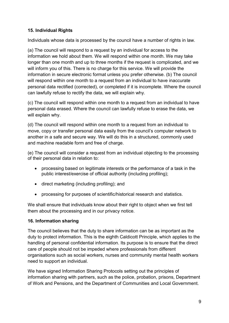## **15. Individual Rights**

Individuals whose data is processed by the council have a number of rights in law.

(a) The council will respond to a request by an individual for access to the information we hold about them. We will respond within one month. We may take longer than one month and up to three months if the request is complicated, and we will inform you of this. There is no charge for this service. We will provide the information in secure electronic format unless you prefer otherwise. (b) The council will respond within one month to a request from an individual to have inaccurate personal data rectified (corrected), or completed if it is incomplete. Where the council can lawfully refuse to rectify the data, we will explain why.

(c) The council will respond within one month to a request from an individual to have personal data erased. Where the council can lawfully refuse to erase the data, we will explain why.

(d) The council will respond within one month to a request from an individual to move, copy or transfer personal data easily from the council's computer network to another in a safe and secure way. We will do this in a structured, commonly used and machine readable form and free of charge.

(e) The council will consider a request from an individual objecting to the processing of their personal data in relation to:

- processing based on legitimate interests or the performance of a task in the public interest/exercise of official authority (including profiling);
- direct marketing (including profiling); and
- processing for purposes of scientific/historical research and statistics.

We shall ensure that individuals know about their right to object when we first tell them about the processing and in our privacy notice.

#### **16. Information sharing**

The council believes that the duty to share information can be as important as the duty to protect information. This is the eighth Caldicott Principle, which applies to the handling of personal confidential information. Its purpose is to ensure that the direct care of people should not be impeded where professionals from different organisations such as social workers, nurses and community mental health workers need to support an individual.

We have signed Information Sharing Protocols setting out the principles of information sharing with partners, such as the police, probation, prisons, Department of Work and Pensions, and the Department of Communities and Local Government.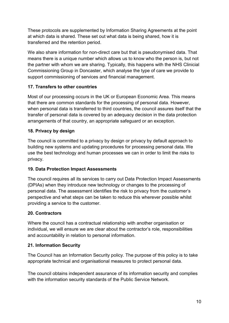These protocols are supplemented by Information Sharing Agreements at the point at which data is shared. These set out what data is being shared, how it is transferred and the retention period.

We also share information for non-direct care but that is pseudonymised data. That means there is a unique number which allows us to know who the person is, but not the partner with whom we are sharing. Typically, this happens with the NHS Clinicial Commissioning Group in Doncaster, which analyse the type of care we provide to support commissioning of services and financial management.

## **17. Transfers to other countries**

Most of our processing occurs in the UK or European Economic Area. This means that there are common standards for the processing of personal data. However, when personal data is transferred to third countries, the council assures itself that the transfer of personal data is covered by an adequacy decision in the data protection arrangements of that country, an appropriate safeguard or an exception.

## **18. Privacy by design**

The council is committed to a privacy by design or privacy by default approach to building new systems and updating procedures for processing personal data. We use the best technology and human processes we can in order to limit the risks to privacy.

## **19. Data Protection Impact Assessments**

The council requires all its services to carry out Data Protection Impact Assessments (DPIAs) when they introduce new technology or changes to the processing of personal data. The assessment identifies the risk to privacy from the customer's perspective and what steps can be taken to reduce this wherever possible whilst providing a service to the customer.

## **20. Contractors**

Where the council has a contractual relationship with another organisation or individual, we will ensure we are clear about the contractor's role, responsibilities and accountability in relation to personal information.

## **21. Information Security**

The Council has an Information Security policy. The purpose of this policy is to take appropriate technical and organisational measures to protect personal data.

The council obtains independent assurance of its information security and complies with the information security standards of the Public Service Network.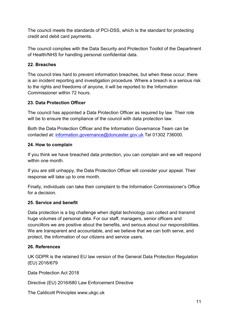The council meets the standards of PCI-DSS, which is the standard for protecting credit and debit card payments.

The council complies with the Data Security and Protection Toolkit of the Department of Health/NHS for handling personal confidential data.

#### **22. Breaches**

The council tries hard to prevent information breaches, but when these occur, there is an incident reporting and investigation procedure. Where a breach is a serious risk to the rights and freedoms of anyone, it will be reported to the Information Commissioner within 72 hours.

#### **23. Data Protection Officer**

The council has appointed a Data Protection Officer as required by law. Their role will be to ensure the compliance of the council with data protection law.

Both the Data Protection Officer and the Information Governance Team can be contacted at: [information.governance@doncaster.gov.uk](mailto:information.governance@doncaster.gov.uk) Tel 01302 736000.

#### **24. How to complain**

If you think we have breached data protection, you can complain and we will respond within one month.

If you are still unhappy, the Data Protection Officer will consider your appeal. Their response will take up to one month.

Finally, individuals can take their complaint to the Information Commissioner's Office for a decision.

#### **25. Service and benefit**

Data protection is a big challenge when digital technology can collect and transmit huge volumes of personal data. For our staff, managers, senior officers and councillors we are positive about the benefits, and serious about our responsibilities. We are transparent and accountable, and we believe that we can both serve, and protect, the information of our citizens and service users.

#### **26. References**

UK GDPR is the retained EU law version of the General Data Protection Regulation (EU) 2016/679

Data Protection Act 2018

Directive (EU) 2016/680 Law Enforcement Directive

The Caldicott Principles www.ukgc.uk